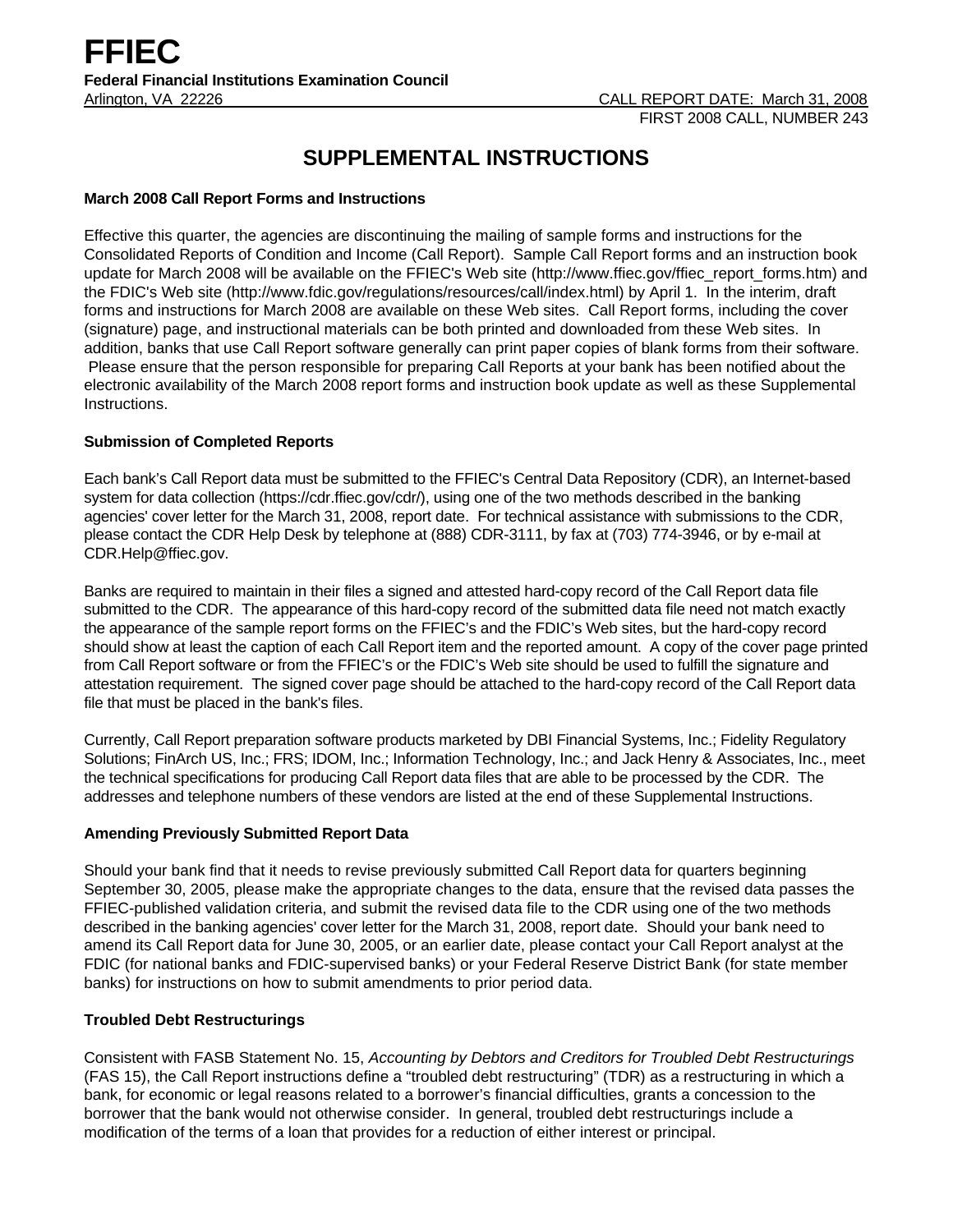# **SUPPLEMENTAL INSTRUCTIONS**

# **March 2008 Call Report Forms and Instructions**

Effective this quarter, the agencies are discontinuing the mailing of sample forms and instructions for the Consolidated Reports of Condition and Income (Call Report). Sample Call Report forms and an instruction book update for March 2008 will be available on the FFIEC's Web site (http://www.ffiec.gov/ffiec\_report\_forms.htm) and the FDIC's Web site (http://www.fdic.gov/regulations/resources/call/index.html) by April 1. In the interim, draft forms and instructions for March 2008 are available on these Web sites. Call Report forms, including the cover (signature) page, and instructional materials can be both printed and downloaded from these Web sites. In addition, banks that use Call Report software generally can print paper copies of blank forms from their software. Please ensure that the person responsible for preparing Call Reports at your bank has been notified about the electronic availability of the March 2008 report forms and instruction book update as well as these Supplemental Instructions.

# **Submission of Completed Reports**

Each bank's Call Report data must be submitted to the FFIEC's Central Data Repository (CDR), an Internet-based system for data collection (https://cdr.ffiec.gov/cdr/), using one of the two methods described in the banking agencies' cover letter for the March 31, 2008, report date. For technical assistance with submissions to the CDR, please contact the CDR Help Desk by telephone at (888) CDR-3111, by fax at (703) 774-3946, or by e-mail at CDR.Help@ffiec.gov.

Banks are required to maintain in their files a signed and attested hard-copy record of the Call Report data file submitted to the CDR. The appearance of this hard-copy record of the submitted data file need not match exactly the appearance of the sample report forms on the FFIEC's and the FDIC's Web sites, but the hard-copy record should show at least the caption of each Call Report item and the reported amount. A copy of the cover page printed from Call Report software or from the FFIEC's or the FDIC's Web site should be used to fulfill the signature and attestation requirement. The signed cover page should be attached to the hard-copy record of the Call Report data file that must be placed in the bank's files.

Currently, Call Report preparation software products marketed by DBI Financial Systems, Inc.; Fidelity Regulatory Solutions; FinArch US, Inc.; FRS; IDOM, Inc.; Information Technology, Inc.; and Jack Henry & Associates, Inc., meet the technical specifications for producing Call Report data files that are able to be processed by the CDR. The addresses and telephone numbers of these vendors are listed at the end of these Supplemental Instructions.

## **Amending Previously Submitted Report Data**

Should your bank find that it needs to revise previously submitted Call Report data for quarters beginning September 30, 2005, please make the appropriate changes to the data, ensure that the revised data passes the FFIEC-published validation criteria, and submit the revised data file to the CDR using one of the two methods described in the banking agencies' cover letter for the March 31, 2008, report date. Should your bank need to amend its Call Report data for June 30, 2005, or an earlier date, please contact your Call Report analyst at the FDIC (for national banks and FDIC-supervised banks) or your Federal Reserve District Bank (for state member banks) for instructions on how to submit amendments to prior period data.

# **Troubled Debt Restructurings**

Consistent with FASB Statement No. 15, *Accounting by Debtors and Creditors for Troubled Debt Restructurings* (FAS 15), the Call Report instructions define a "troubled debt restructuring" (TDR) as a restructuring in which a bank, for economic or legal reasons related to a borrower's financial difficulties, grants a concession to the borrower that the bank would not otherwise consider. In general, troubled debt restructurings include a modification of the terms of a loan that provides for a reduction of either interest or principal.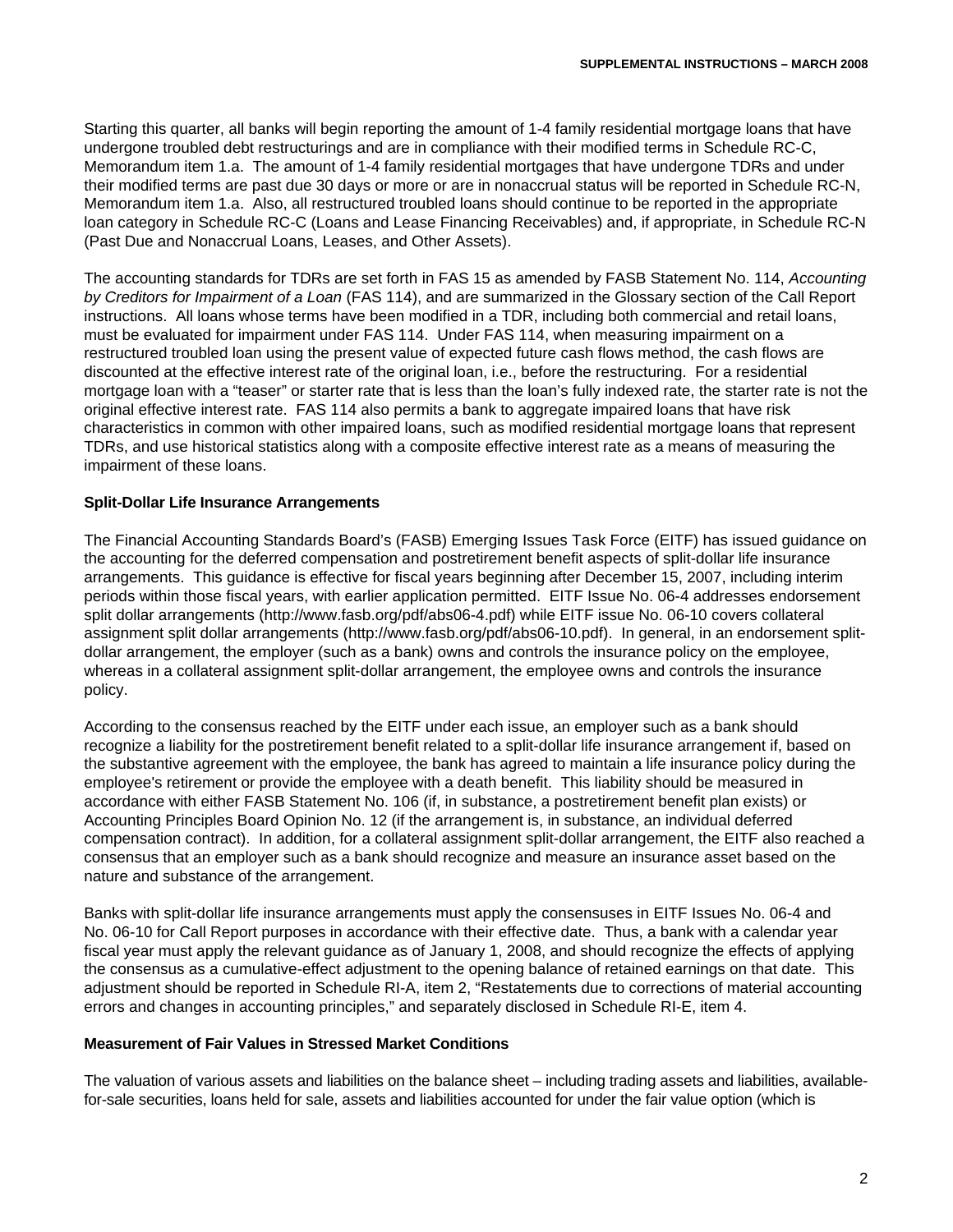Starting this quarter, all banks will begin reporting the amount of 1-4 family residential mortgage loans that have undergone troubled debt restructurings and are in compliance with their modified terms in Schedule RC-C, Memorandum item 1.a. The amount of 1-4 family residential mortgages that have undergone TDRs and under their modified terms are past due 30 days or more or are in nonaccrual status will be reported in Schedule RC-N, Memorandum item 1.a. Also, all restructured troubled loans should continue to be reported in the appropriate loan category in Schedule RC-C (Loans and Lease Financing Receivables) and, if appropriate, in Schedule RC-N (Past Due and Nonaccrual Loans, Leases, and Other Assets).

The accounting standards for TDRs are set forth in FAS 15 as amended by FASB Statement No. 114, *Accounting by Creditors for Impairment of a Loan* (FAS 114), and are summarized in the Glossary section of the Call Report instructions. All loans whose terms have been modified in a TDR, including both commercial and retail loans, must be evaluated for impairment under FAS 114. Under FAS 114, when measuring impairment on a restructured troubled loan using the present value of expected future cash flows method, the cash flows are discounted at the effective interest rate of the original loan, i.e., before the restructuring. For a residential mortgage loan with a "teaser" or starter rate that is less than the loan's fully indexed rate, the starter rate is not the original effective interest rate. FAS 114 also permits a bank to aggregate impaired loans that have risk characteristics in common with other impaired loans, such as modified residential mortgage loans that represent TDRs, and use historical statistics along with a composite effective interest rate as a means of measuring the impairment of these loans.

# **Split-Dollar Life Insurance Arrangements**

The Financial Accounting Standards Board's (FASB) Emerging Issues Task Force (EITF) has issued guidance on the accounting for the deferred compensation and postretirement benefit aspects of split-dollar life insurance arrangements. This guidance is effective for fiscal years beginning after December 15, 2007, including interim periods within those fiscal years, with earlier application permitted. EITF Issue No. 06-4 addresses endorsement split dollar arrangements (http://www.fasb.org/pdf/abs06-4.pdf) while EITF issue No. 06-10 covers collateral assignment split dollar arrangements (http://www.fasb.org/pdf/abs06-10.pdf). In general, in an endorsement splitdollar arrangement, the employer (such as a bank) owns and controls the insurance policy on the employee, whereas in a collateral assignment split-dollar arrangement, the employee owns and controls the insurance policy.

According to the consensus reached by the EITF under each issue, an employer such as a bank should recognize a liability for the postretirement benefit related to a split-dollar life insurance arrangement if, based on the substantive agreement with the employee, the bank has agreed to maintain a life insurance policy during the employee's retirement or provide the employee with a death benefit. This liability should be measured in accordance with either FASB Statement No. 106 (if, in substance, a postretirement benefit plan exists) or Accounting Principles Board Opinion No. 12 (if the arrangement is, in substance, an individual deferred compensation contract). In addition, for a collateral assignment split-dollar arrangement, the EITF also reached a consensus that an employer such as a bank should recognize and measure an insurance asset based on the nature and substance of the arrangement.

Banks with split-dollar life insurance arrangements must apply the consensuses in EITF Issues No. 06-4 and No. 06-10 for Call Report purposes in accordance with their effective date. Thus, a bank with a calendar year fiscal year must apply the relevant guidance as of January 1, 2008, and should recognize the effects of applying the consensus as a cumulative-effect adjustment to the opening balance of retained earnings on that date. This adjustment should be reported in Schedule RI-A, item 2, "Restatements due to corrections of material accounting errors and changes in accounting principles," and separately disclosed in Schedule RI-E, item 4.

## **Measurement of Fair Values in Stressed Market Conditions**

The valuation of various assets and liabilities on the balance sheet – including trading assets and liabilities, availablefor-sale securities, loans held for sale, assets and liabilities accounted for under the fair value option (which is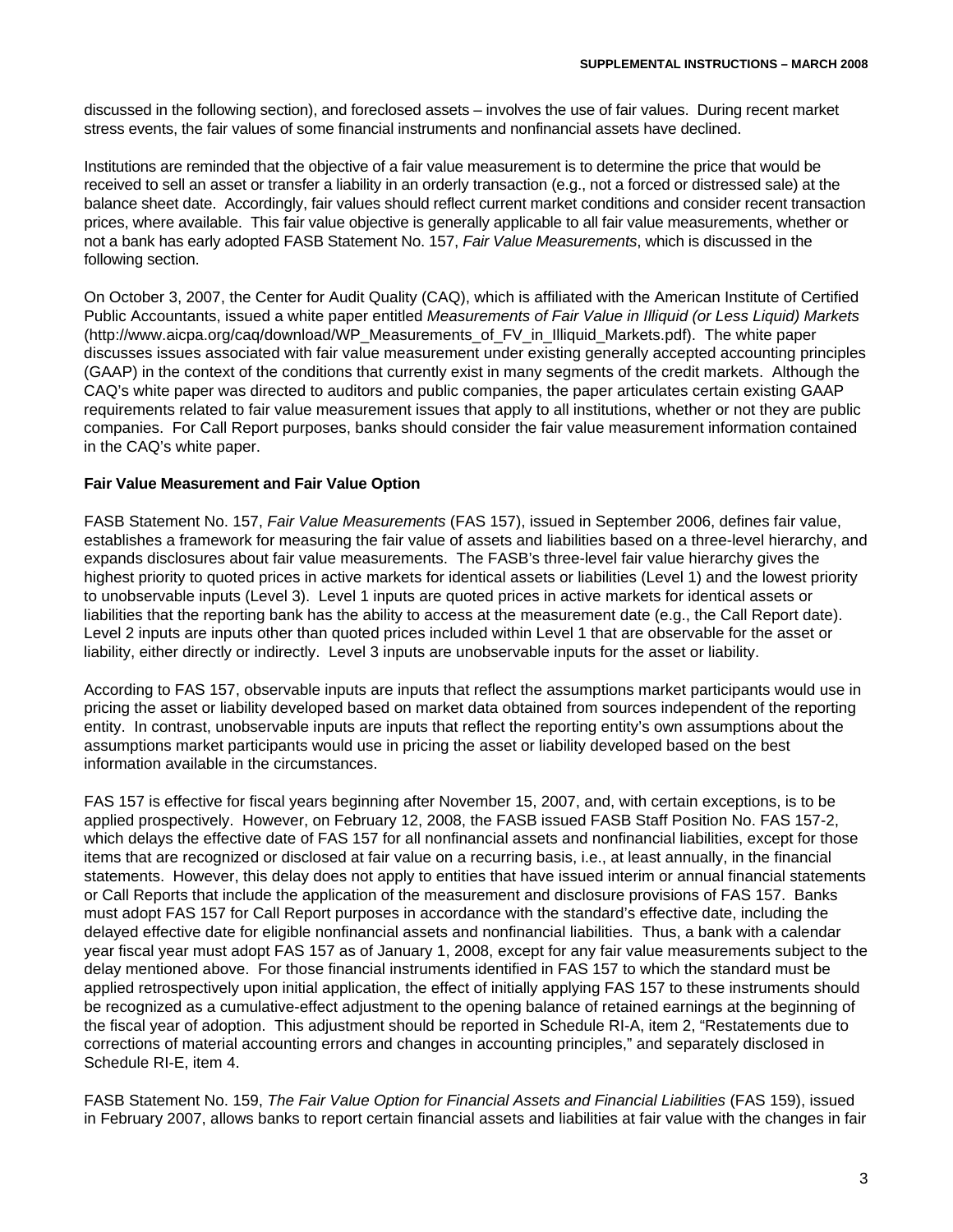discussed in the following section), and foreclosed assets – involves the use of fair values. During recent market stress events, the fair values of some financial instruments and nonfinancial assets have declined.

Institutions are reminded that the objective of a fair value measurement is to determine the price that would be received to sell an asset or transfer a liability in an orderly transaction (e.g., not a forced or distressed sale) at the balance sheet date. Accordingly, fair values should reflect current market conditions and consider recent transaction prices, where available. This fair value objective is generally applicable to all fair value measurements, whether or not a bank has early adopted FASB Statement No. 157, *Fair Value Measurements*, which is discussed in the following section.

On October 3, 2007, the Center for Audit Quality (CAQ), which is affiliated with the American Institute of Certified Public Accountants, issued a white paper entitled *Measurements of Fair Value in Illiquid (or Less Liquid) Markets* (http://www.aicpa.org/caq/download/WP\_Measurements\_of\_FV\_in\_Illiquid\_Markets.pdf). The white paper discusses issues associated with fair value measurement under existing generally accepted accounting principles (GAAP) in the context of the conditions that currently exist in many segments of the credit markets. Although the CAQ's white paper was directed to auditors and public companies, the paper articulates certain existing GAAP requirements related to fair value measurement issues that apply to all institutions, whether or not they are public companies. For Call Report purposes, banks should consider the fair value measurement information contained in the CAQ's white paper.

# **Fair Value Measurement and Fair Value Option**

FASB Statement No. 157, *Fair Value Measurements* (FAS 157), issued in September 2006, defines fair value, establishes a framework for measuring the fair value of assets and liabilities based on a three-level hierarchy, and expands disclosures about fair value measurements. The FASB's three-level fair value hierarchy gives the highest priority to quoted prices in active markets for identical assets or liabilities (Level 1) and the lowest priority to unobservable inputs (Level 3). Level 1 inputs are quoted prices in active markets for identical assets or liabilities that the reporting bank has the ability to access at the measurement date (e.g., the Call Report date). Level 2 inputs are inputs other than quoted prices included within Level 1 that are observable for the asset or liability, either directly or indirectly. Level 3 inputs are unobservable inputs for the asset or liability.

According to FAS 157, observable inputs are inputs that reflect the assumptions market participants would use in pricing the asset or liability developed based on market data obtained from sources independent of the reporting entity. In contrast, unobservable inputs are inputs that reflect the reporting entity's own assumptions about the assumptions market participants would use in pricing the asset or liability developed based on the best information available in the circumstances.

FAS 157 is effective for fiscal years beginning after November 15, 2007, and, with certain exceptions, is to be applied prospectively. However, on February 12, 2008, the FASB issued FASB Staff Position No. FAS 157-2, which delays the effective date of FAS 157 for all nonfinancial assets and nonfinancial liabilities, except for those items that are recognized or disclosed at fair value on a recurring basis, i.e., at least annually, in the financial statements. However, this delay does not apply to entities that have issued interim or annual financial statements or Call Reports that include the application of the measurement and disclosure provisions of FAS 157. Banks must adopt FAS 157 for Call Report purposes in accordance with the standard's effective date, including the delayed effective date for eligible nonfinancial assets and nonfinancial liabilities. Thus, a bank with a calendar year fiscal year must adopt FAS 157 as of January 1, 2008, except for any fair value measurements subject to the delay mentioned above. For those financial instruments identified in FAS 157 to which the standard must be applied retrospectively upon initial application, the effect of initially applying FAS 157 to these instruments should be recognized as a cumulative-effect adjustment to the opening balance of retained earnings at the beginning of the fiscal year of adoption. This adjustment should be reported in Schedule RI-A, item 2, "Restatements due to corrections of material accounting errors and changes in accounting principles," and separately disclosed in Schedule RI-E, item 4.

FASB Statement No. 159, *The Fair Value Option for Financial Assets and Financial Liabilities* (FAS 159), issued in February 2007, allows banks to report certain financial assets and liabilities at fair value with the changes in fair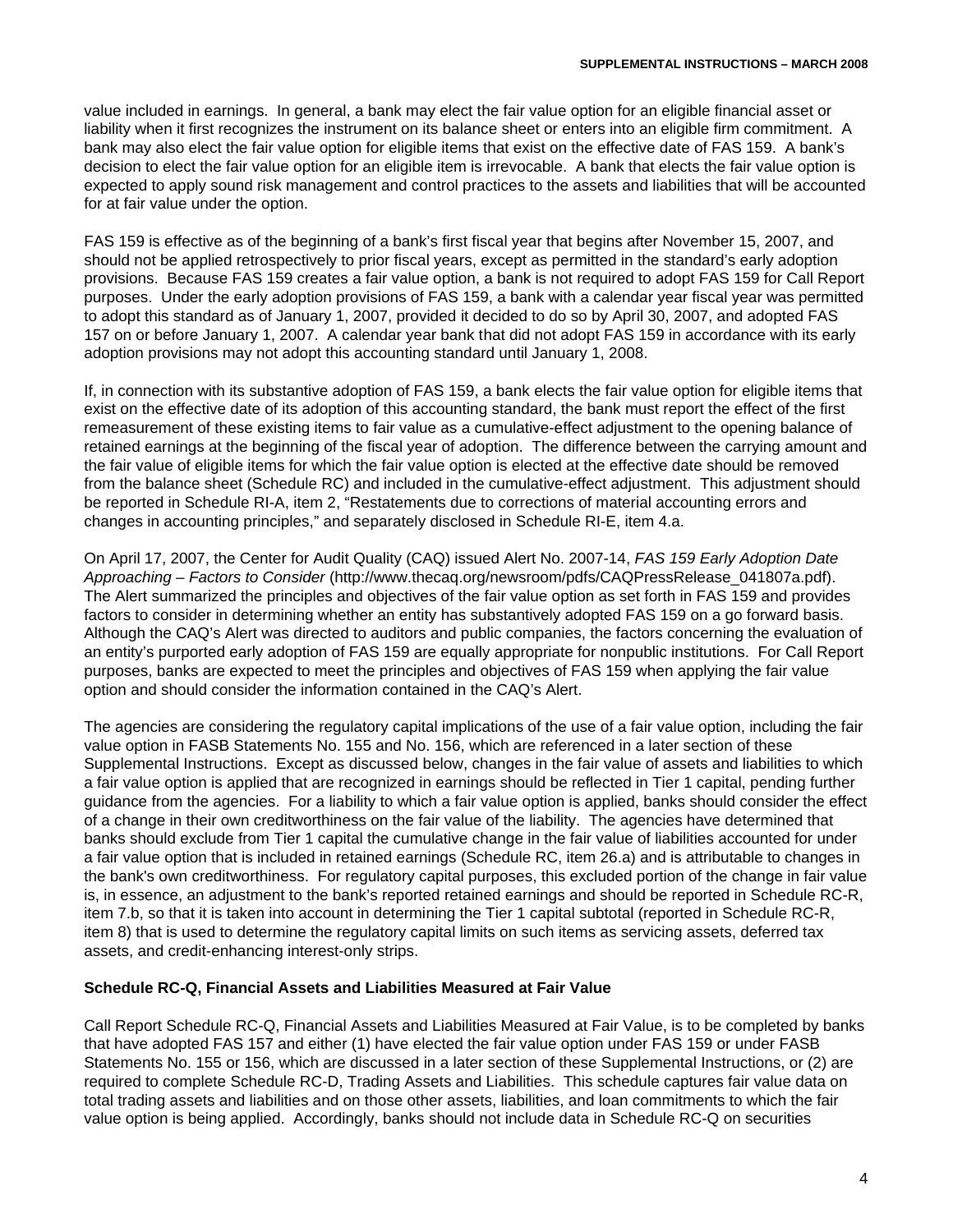value included in earnings. In general, a bank may elect the fair value option for an eligible financial asset or liability when it first recognizes the instrument on its balance sheet or enters into an eligible firm commitment. A bank may also elect the fair value option for eligible items that exist on the effective date of FAS 159. A bank's decision to elect the fair value option for an eligible item is irrevocable. A bank that elects the fair value option is expected to apply sound risk management and control practices to the assets and liabilities that will be accounted for at fair value under the option.

FAS 159 is effective as of the beginning of a bank's first fiscal year that begins after November 15, 2007, and should not be applied retrospectively to prior fiscal years, except as permitted in the standard's early adoption provisions. Because FAS 159 creates a fair value option, a bank is not required to adopt FAS 159 for Call Report purposes. Under the early adoption provisions of FAS 159, a bank with a calendar year fiscal year was permitted to adopt this standard as of January 1, 2007, provided it decided to do so by April 30, 2007, and adopted FAS 157 on or before January 1, 2007. A calendar year bank that did not adopt FAS 159 in accordance with its early adoption provisions may not adopt this accounting standard until January 1, 2008.

If, in connection with its substantive adoption of FAS 159, a bank elects the fair value option for eligible items that exist on the effective date of its adoption of this accounting standard, the bank must report the effect of the first remeasurement of these existing items to fair value as a cumulative-effect adjustment to the opening balance of retained earnings at the beginning of the fiscal year of adoption. The difference between the carrying amount and the fair value of eligible items for which the fair value option is elected at the effective date should be removed from the balance sheet (Schedule RC) and included in the cumulative-effect adjustment. This adjustment should be reported in Schedule RI-A, item 2, "Restatements due to corrections of material accounting errors and changes in accounting principles," and separately disclosed in Schedule RI-E, item 4.a.

On April 17, 2007, the Center for Audit Quality (CAQ) issued Alert No. 2007-14, *FAS 159 Early Adoption Date Approaching – Factors to Consider* (http://www.thecaq.org/newsroom/pdfs/CAQPressRelease\_041807a.pdf). The Alert summarized the principles and objectives of the fair value option as set forth in FAS 159 and provides factors to consider in determining whether an entity has substantively adopted FAS 159 on a go forward basis. Although the CAQ's Alert was directed to auditors and public companies, the factors concerning the evaluation of an entity's purported early adoption of FAS 159 are equally appropriate for nonpublic institutions. For Call Report purposes, banks are expected to meet the principles and objectives of FAS 159 when applying the fair value option and should consider the information contained in the CAQ's Alert.

The agencies are considering the regulatory capital implications of the use of a fair value option, including the fair value option in FASB Statements No. 155 and No. 156, which are referenced in a later section of these Supplemental Instructions. Except as discussed below, changes in the fair value of assets and liabilities to which a fair value option is applied that are recognized in earnings should be reflected in Tier 1 capital, pending further guidance from the agencies. For a liability to which a fair value option is applied, banks should consider the effect of a change in their own creditworthiness on the fair value of the liability. The agencies have determined that banks should exclude from Tier 1 capital the cumulative change in the fair value of liabilities accounted for under a fair value option that is included in retained earnings (Schedule RC, item 26.a) and is attributable to changes in the bank's own creditworthiness. For regulatory capital purposes, this excluded portion of the change in fair value is, in essence, an adjustment to the bank's reported retained earnings and should be reported in Schedule RC-R, item 7.b, so that it is taken into account in determining the Tier 1 capital subtotal (reported in Schedule RC-R, item 8) that is used to determine the regulatory capital limits on such items as servicing assets, deferred tax assets, and credit-enhancing interest-only strips.

#### **Schedule RC-Q, Financial Assets and Liabilities Measured at Fair Value**

Call Report Schedule RC-Q, Financial Assets and Liabilities Measured at Fair Value, is to be completed by banks that have adopted FAS 157 and either (1) have elected the fair value option under FAS 159 or under FASB Statements No. 155 or 156, which are discussed in a later section of these Supplemental Instructions, or (2) are required to complete Schedule RC-D, Trading Assets and Liabilities. This schedule captures fair value data on total trading assets and liabilities and on those other assets, liabilities, and loan commitments to which the fair value option is being applied. Accordingly, banks should not include data in Schedule RC-Q on securities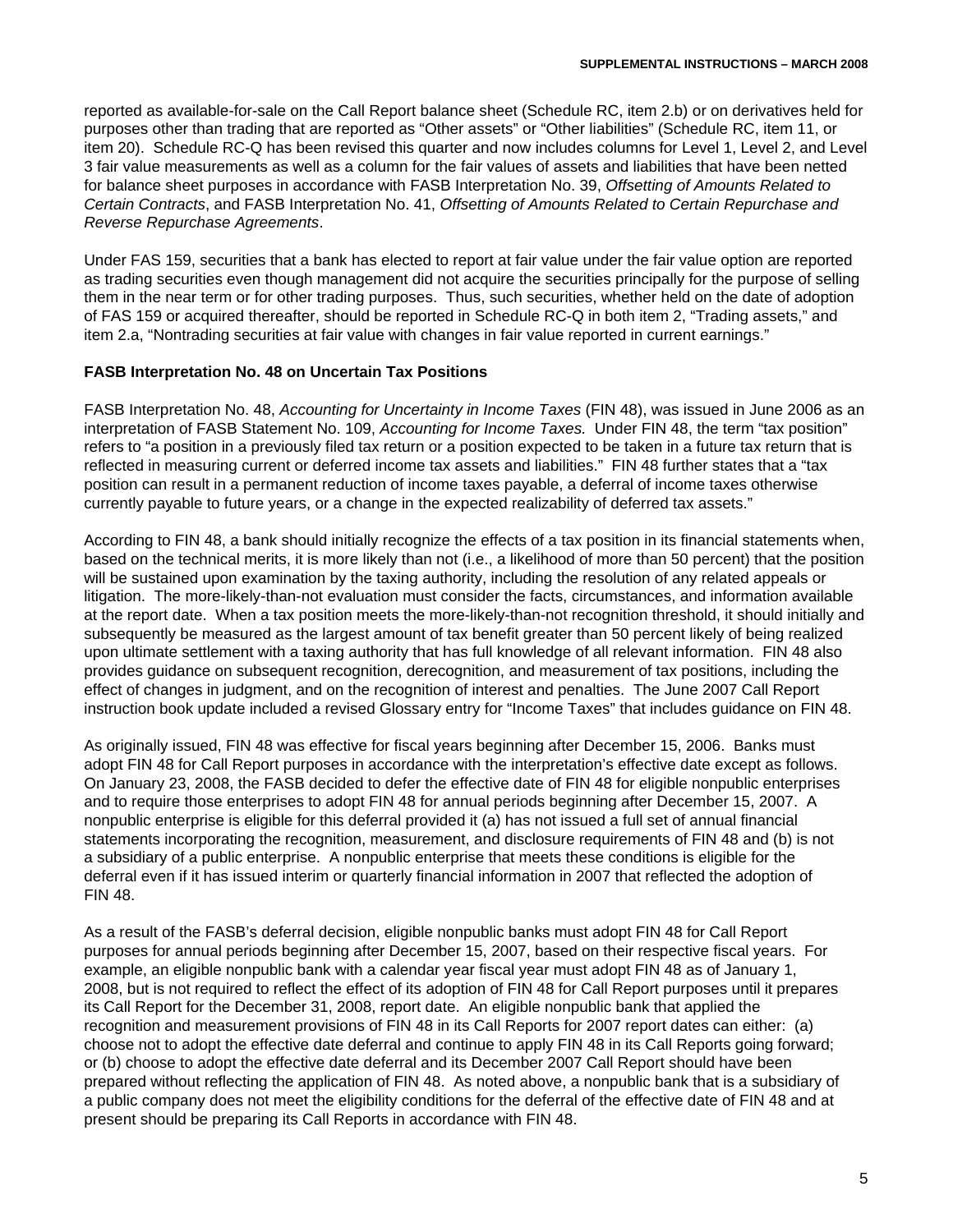reported as available-for-sale on the Call Report balance sheet (Schedule RC, item 2.b) or on derivatives held for purposes other than trading that are reported as "Other assets" or "Other liabilities" (Schedule RC, item 11, or item 20). Schedule RC-Q has been revised this quarter and now includes columns for Level 1, Level 2, and Level 3 fair value measurements as well as a column for the fair values of assets and liabilities that have been netted for balance sheet purposes in accordance with FASB Interpretation No. 39, *Offsetting of Amounts Related to Certain Contracts*, and FASB Interpretation No. 41, *Offsetting of Amounts Related to Certain Repurchase and Reverse Repurchase Agreements*.

Under FAS 159, securities that a bank has elected to report at fair value under the fair value option are reported as trading securities even though management did not acquire the securities principally for the purpose of selling them in the near term or for other trading purposes. Thus, such securities, whether held on the date of adoption of FAS 159 or acquired thereafter, should be reported in Schedule RC-Q in both item 2, "Trading assets," and item 2.a, "Nontrading securities at fair value with changes in fair value reported in current earnings."

## **FASB Interpretation No. 48 on Uncertain Tax Positions**

FASB Interpretation No. 48, *Accounting for Uncertainty in Income Taxes* (FIN 48), was issued in June 2006 as an interpretation of FASB Statement No. 109, *Accounting for Income Taxes.* Under FIN 48, the term "tax position" refers to "a position in a previously filed tax return or a position expected to be taken in a future tax return that is reflected in measuring current or deferred income tax assets and liabilities." FIN 48 further states that a "tax position can result in a permanent reduction of income taxes payable, a deferral of income taxes otherwise currently payable to future years, or a change in the expected realizability of deferred tax assets."

According to FIN 48, a bank should initially recognize the effects of a tax position in its financial statements when, based on the technical merits, it is more likely than not (i.e., a likelihood of more than 50 percent) that the position will be sustained upon examination by the taxing authority, including the resolution of any related appeals or litigation. The more-likely-than-not evaluation must consider the facts, circumstances, and information available at the report date. When a tax position meets the more-likely-than-not recognition threshold, it should initially and subsequently be measured as the largest amount of tax benefit greater than 50 percent likely of being realized upon ultimate settlement with a taxing authority that has full knowledge of all relevant information. FIN 48 also provides guidance on subsequent recognition, derecognition, and measurement of tax positions, including the effect of changes in judgment, and on the recognition of interest and penalties. The June 2007 Call Report instruction book update included a revised Glossary entry for "Income Taxes" that includes guidance on FIN 48.

As originally issued, FIN 48 was effective for fiscal years beginning after December 15, 2006. Banks must adopt FIN 48 for Call Report purposes in accordance with the interpretation's effective date except as follows. On January 23, 2008, the FASB decided to defer the effective date of FIN 48 for eligible nonpublic enterprises and to require those enterprises to adopt FIN 48 for annual periods beginning after December 15, 2007. A nonpublic enterprise is eligible for this deferral provided it (a) has not issued a full set of annual financial statements incorporating the recognition, measurement, and disclosure requirements of FIN 48 and (b) is not a subsidiary of a public enterprise. A nonpublic enterprise that meets these conditions is eligible for the deferral even if it has issued interim or quarterly financial information in 2007 that reflected the adoption of FIN 48.

As a result of the FASB's deferral decision, eligible nonpublic banks must adopt FIN 48 for Call Report purposes for annual periods beginning after December 15, 2007, based on their respective fiscal years. For example, an eligible nonpublic bank with a calendar year fiscal year must adopt FIN 48 as of January 1, 2008, but is not required to reflect the effect of its adoption of FIN 48 for Call Report purposes until it prepares its Call Report for the December 31, 2008, report date. An eligible nonpublic bank that applied the recognition and measurement provisions of FIN 48 in its Call Reports for 2007 report dates can either: (a) choose not to adopt the effective date deferral and continue to apply FIN 48 in its Call Reports going forward; or (b) choose to adopt the effective date deferral and its December 2007 Call Report should have been prepared without reflecting the application of FIN 48. As noted above, a nonpublic bank that is a subsidiary of a public company does not meet the eligibility conditions for the deferral of the effective date of FIN 48 and at present should be preparing its Call Reports in accordance with FIN 48.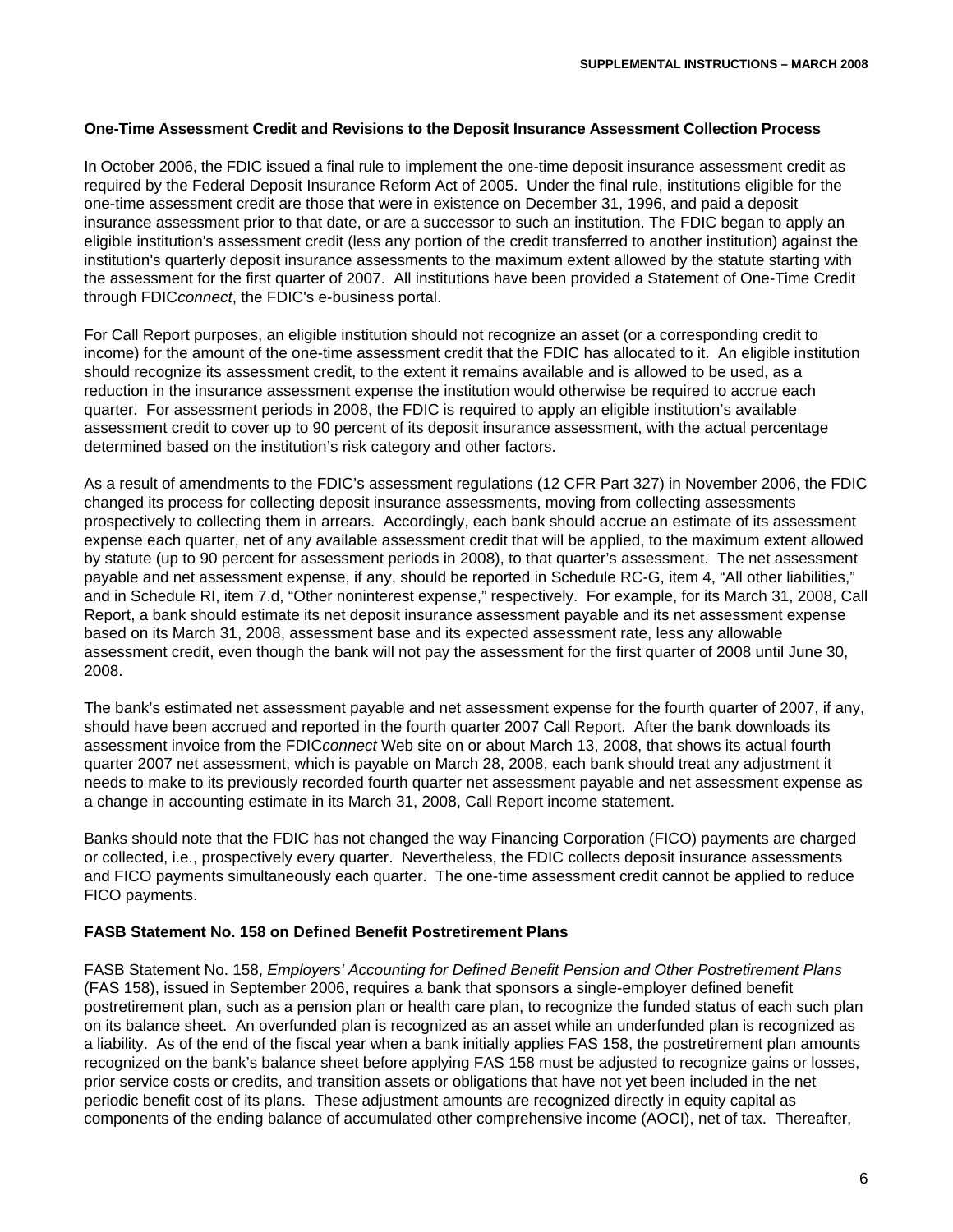## **One-Time Assessment Credit and Revisions to the Deposit Insurance Assessment Collection Process**

In October 2006, the FDIC issued a final rule to implement the one-time deposit insurance assessment credit as required by the Federal Deposit Insurance Reform Act of 2005. Under the final rule, institutions eligible for the one-time assessment credit are those that were in existence on December 31, 1996, and paid a deposit insurance assessment prior to that date, or are a successor to such an institution. The FDIC began to apply an eligible institution's assessment credit (less any portion of the credit transferred to another institution) against the institution's quarterly deposit insurance assessments to the maximum extent allowed by the statute starting with the assessment for the first quarter of 2007. All institutions have been provided a Statement of One-Time Credit through FDIC*connect*, the FDIC's e-business portal.

For Call Report purposes, an eligible institution should not recognize an asset (or a corresponding credit to income) for the amount of the one-time assessment credit that the FDIC has allocated to it. An eligible institution should recognize its assessment credit, to the extent it remains available and is allowed to be used, as a reduction in the insurance assessment expense the institution would otherwise be required to accrue each quarter. For assessment periods in 2008, the FDIC is required to apply an eligible institution's available assessment credit to cover up to 90 percent of its deposit insurance assessment, with the actual percentage determined based on the institution's risk category and other factors.

As a result of amendments to the FDIC's assessment regulations (12 CFR Part 327) in November 2006, the FDIC changed its process for collecting deposit insurance assessments, moving from collecting assessments prospectively to collecting them in arrears. Accordingly, each bank should accrue an estimate of its assessment expense each quarter, net of any available assessment credit that will be applied, to the maximum extent allowed by statute (up to 90 percent for assessment periods in 2008), to that quarter's assessment. The net assessment payable and net assessment expense, if any, should be reported in Schedule RC-G, item 4, "All other liabilities," and in Schedule RI, item 7.d, "Other noninterest expense," respectively. For example, for its March 31, 2008, Call Report, a bank should estimate its net deposit insurance assessment payable and its net assessment expense based on its March 31, 2008, assessment base and its expected assessment rate, less any allowable assessment credit, even though the bank will not pay the assessment for the first quarter of 2008 until June 30, 2008.

The bank's estimated net assessment payable and net assessment expense for the fourth quarter of 2007, if any, should have been accrued and reported in the fourth quarter 2007 Call Report. After the bank downloads its assessment invoice from the FDIC*connect* Web site on or about March 13, 2008, that shows its actual fourth quarter 2007 net assessment, which is payable on March 28, 2008, each bank should treat any adjustment it needs to make to its previously recorded fourth quarter net assessment payable and net assessment expense as a change in accounting estimate in its March 31, 2008, Call Report income statement.

Banks should note that the FDIC has not changed the way Financing Corporation (FICO) payments are charged or collected, i.e., prospectively every quarter. Nevertheless, the FDIC collects deposit insurance assessments and FICO payments simultaneously each quarter. The one-time assessment credit cannot be applied to reduce FICO payments.

## **FASB Statement No. 158 on Defined Benefit Postretirement Plans**

FASB Statement No. 158, *Employers' Accounting for Defined Benefit Pension and Other Postretirement Plans* (FAS 158), issued in September 2006, requires a bank that sponsors a single-employer defined benefit postretirement plan, such as a pension plan or health care plan, to recognize the funded status of each such plan on its balance sheet. An overfunded plan is recognized as an asset while an underfunded plan is recognized as a liability. As of the end of the fiscal year when a bank initially applies FAS 158, the postretirement plan amounts recognized on the bank's balance sheet before applying FAS 158 must be adjusted to recognize gains or losses, prior service costs or credits, and transition assets or obligations that have not yet been included in the net periodic benefit cost of its plans. These adjustment amounts are recognized directly in equity capital as components of the ending balance of accumulated other comprehensive income (AOCI), net of tax. Thereafter,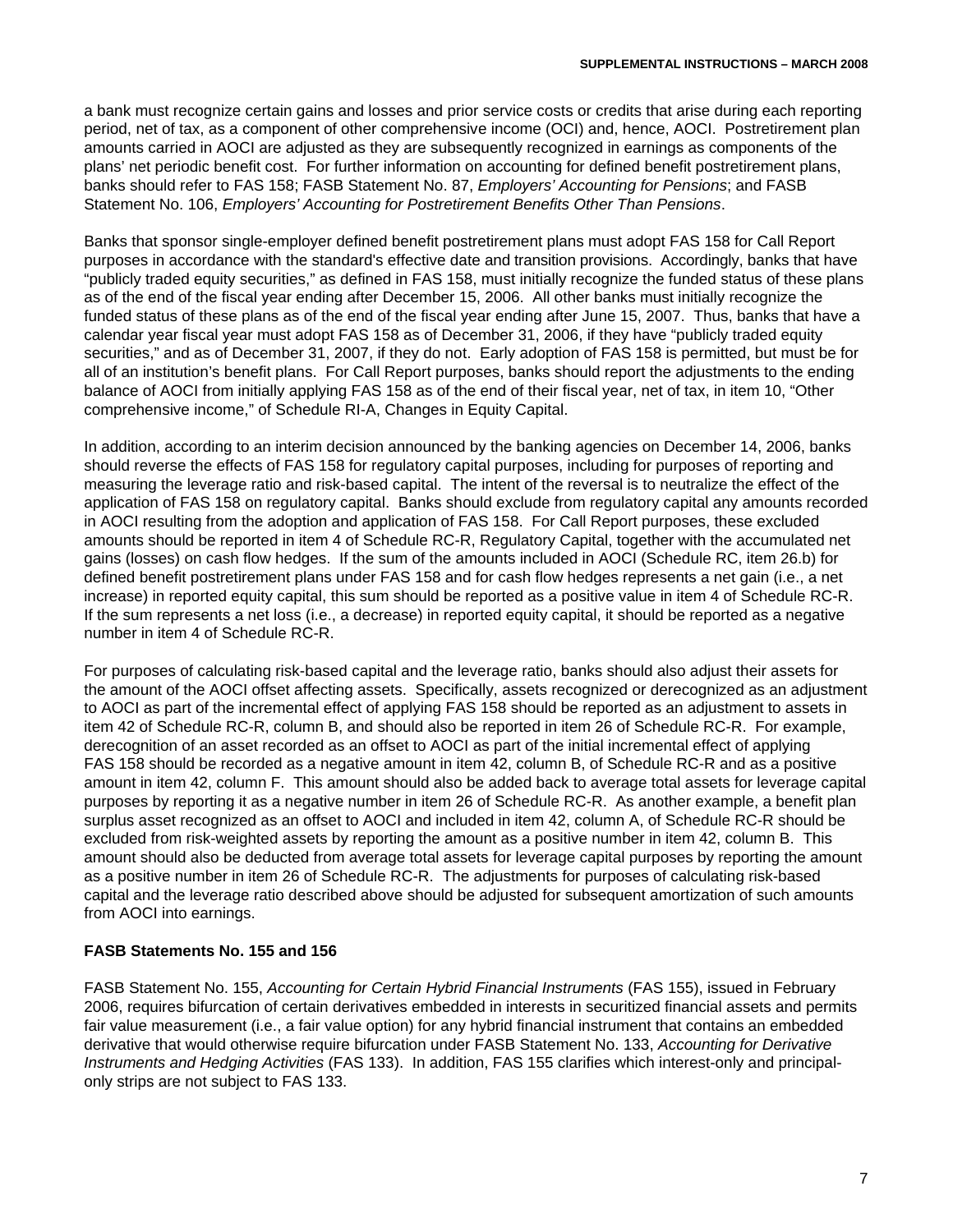a bank must recognize certain gains and losses and prior service costs or credits that arise during each reporting period, net of tax, as a component of other comprehensive income (OCI) and, hence, AOCI. Postretirement plan amounts carried in AOCI are adjusted as they are subsequently recognized in earnings as components of the plans' net periodic benefit cost. For further information on accounting for defined benefit postretirement plans, banks should refer to FAS 158; FASB Statement No. 87, *Employers' Accounting for Pensions*; and FASB Statement No. 106, *Employers' Accounting for Postretirement Benefits Other Than Pensions*.

Banks that sponsor single-employer defined benefit postretirement plans must adopt FAS 158 for Call Report purposes in accordance with the standard's effective date and transition provisions. Accordingly, banks that have "publicly traded equity securities," as defined in FAS 158, must initially recognize the funded status of these plans as of the end of the fiscal year ending after December 15, 2006. All other banks must initially recognize the funded status of these plans as of the end of the fiscal year ending after June 15, 2007. Thus, banks that have a calendar year fiscal year must adopt FAS 158 as of December 31, 2006, if they have "publicly traded equity securities," and as of December 31, 2007, if they do not. Early adoption of FAS 158 is permitted, but must be for all of an institution's benefit plans. For Call Report purposes, banks should report the adjustments to the ending balance of AOCI from initially applying FAS 158 as of the end of their fiscal year, net of tax, in item 10, "Other comprehensive income," of Schedule RI-A, Changes in Equity Capital.

In addition, according to an interim decision announced by the banking agencies on December 14, 2006, banks should reverse the effects of FAS 158 for regulatory capital purposes, including for purposes of reporting and measuring the leverage ratio and risk-based capital. The intent of the reversal is to neutralize the effect of the application of FAS 158 on regulatory capital. Banks should exclude from regulatory capital any amounts recorded in AOCI resulting from the adoption and application of FAS 158. For Call Report purposes, these excluded amounts should be reported in item 4 of Schedule RC-R, Regulatory Capital, together with the accumulated net gains (losses) on cash flow hedges. If the sum of the amounts included in AOCI (Schedule RC, item 26.b) for defined benefit postretirement plans under FAS 158 and for cash flow hedges represents a net gain (i.e., a net increase) in reported equity capital, this sum should be reported as a positive value in item 4 of Schedule RC-R. If the sum represents a net loss (i.e., a decrease) in reported equity capital, it should be reported as a negative number in item 4 of Schedule RC-R.

For purposes of calculating risk-based capital and the leverage ratio, banks should also adjust their assets for the amount of the AOCI offset affecting assets. Specifically, assets recognized or derecognized as an adjustment to AOCI as part of the incremental effect of applying FAS 158 should be reported as an adjustment to assets in item 42 of Schedule RC-R, column B, and should also be reported in item 26 of Schedule RC-R. For example, derecognition of an asset recorded as an offset to AOCI as part of the initial incremental effect of applying FAS 158 should be recorded as a negative amount in item 42, column B, of Schedule RC-R and as a positive amount in item 42, column F. This amount should also be added back to average total assets for leverage capital purposes by reporting it as a negative number in item 26 of Schedule RC-R. As another example, a benefit plan surplus asset recognized as an offset to AOCI and included in item 42, column A, of Schedule RC-R should be excluded from risk-weighted assets by reporting the amount as a positive number in item 42, column B. This amount should also be deducted from average total assets for leverage capital purposes by reporting the amount as a positive number in item 26 of Schedule RC-R. The adjustments for purposes of calculating risk-based capital and the leverage ratio described above should be adjusted for subsequent amortization of such amounts from AOCI into earnings.

# **FASB Statements No. 155 and 156**

FASB Statement No. 155, *Accounting for Certain Hybrid Financial Instruments* (FAS 155), issued in February 2006, requires bifurcation of certain derivatives embedded in interests in securitized financial assets and permits fair value measurement (i.e., a fair value option) for any hybrid financial instrument that contains an embedded derivative that would otherwise require bifurcation under FASB Statement No. 133, *Accounting for Derivative Instruments and Hedging Activities* (FAS 133). In addition, FAS 155 clarifies which interest-only and principalonly strips are not subject to FAS 133.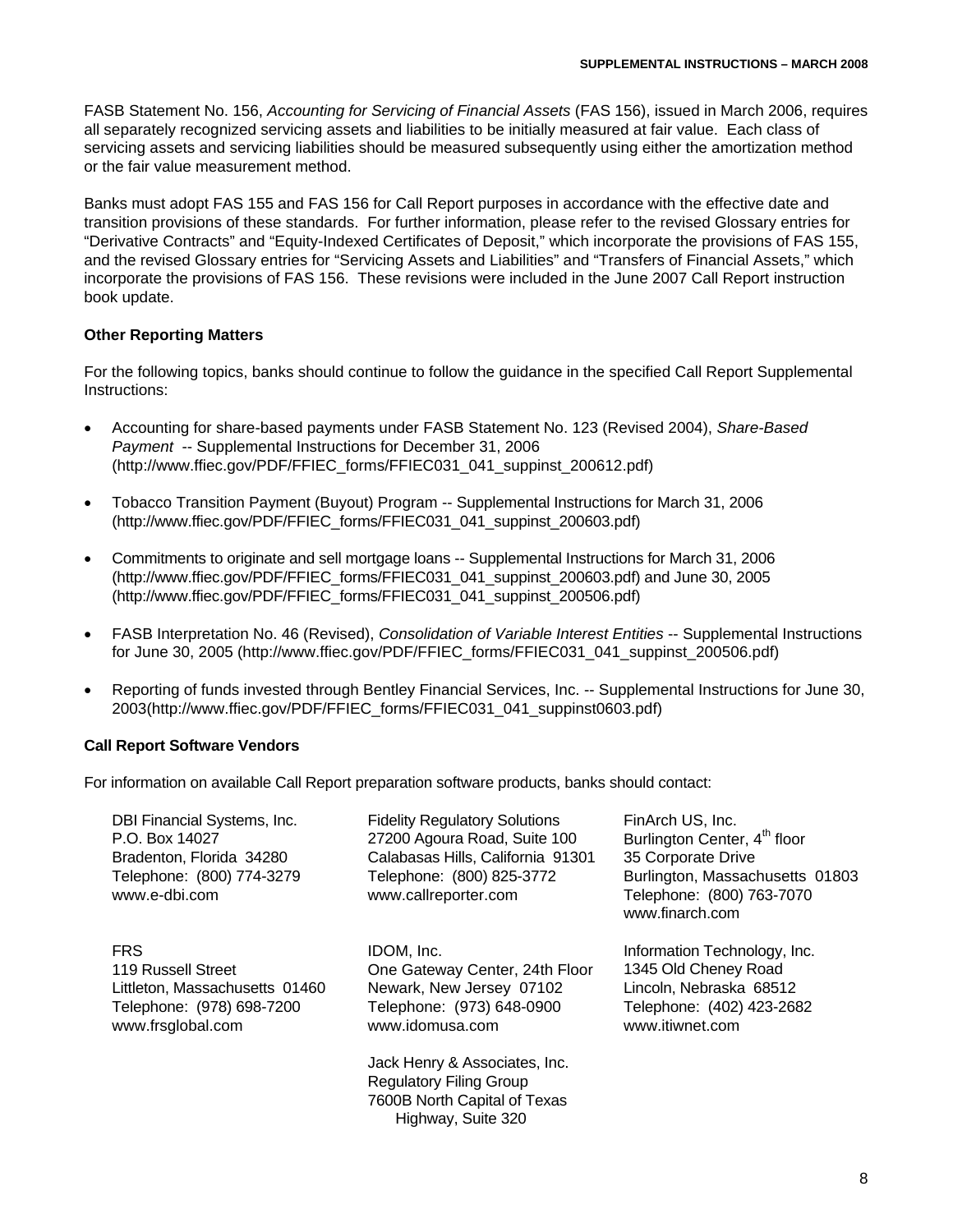FASB Statement No. 156, *Accounting for Servicing of Financial Assets* (FAS 156), issued in March 2006, requires all separately recognized servicing assets and liabilities to be initially measured at fair value. Each class of servicing assets and servicing liabilities should be measured subsequently using either the amortization method or the fair value measurement method.

Banks must adopt FAS 155 and FAS 156 for Call Report purposes in accordance with the effective date and transition provisions of these standards. For further information, please refer to the revised Glossary entries for "Derivative Contracts" and "Equity-Indexed Certificates of Deposit," which incorporate the provisions of FAS 155, and the revised Glossary entries for "Servicing Assets and Liabilities" and "Transfers of Financial Assets," which incorporate the provisions of FAS 156. These revisions were included in the June 2007 Call Report instruction book update.

## **Other Reporting Matters**

For the following topics, banks should continue to follow the guidance in the specified Call Report Supplemental Instructions:

- Accounting for share-based payments under FASB Statement No. 123 (Revised 2004), *Share-Based Payment* -- Supplemental Instructions for December 31, 2006 (http://www.ffiec.gov/PDF/FFIEC\_forms/FFIEC031\_041\_suppinst\_200612.pdf)
- Tobacco Transition Payment (Buyout) Program -- Supplemental Instructions for March 31, 2006 (http://www.ffiec.gov/PDF/FFIEC\_forms/FFIEC031\_041\_suppinst\_200603.pdf)
- Commitments to originate and sell mortgage loans -- Supplemental Instructions for March 31, 2006 (http://www.ffiec.gov/PDF/FFIEC\_forms/FFIEC031\_041\_suppinst\_200603.pdf) and June 30, 2005 (http://www.ffiec.gov/PDF/FFIEC\_forms/FFIEC031\_041\_suppinst\_200506.pdf)
- FASB Interpretation No. 46 (Revised), *Consolidation of Variable Interest Entities* -- Supplemental Instructions for June 30, 2005 (http://www.ffiec.gov/PDF/FFIEC\_forms/FFIEC031\_041\_suppinst\_200506.pdf)
- Reporting of funds invested through Bentley Financial Services, Inc. -- Supplemental Instructions for June 30, 2003(http://www.ffiec.gov/PDF/FFIEC\_forms/FFIEC031\_041\_suppinst0603.pdf)

## **Call Report Software Vendors**

For information on available Call Report preparation software products, banks should contact:

| DBI Financial Systems, Inc.<br>P.O. Box 14027<br>Bradenton, Florida 34280<br>Telephone: (800) 774-3279<br>www.e-dbi.com | <b>Fidelity Regulatory Solutions</b><br>27200 Agoura Road, Suite 100<br>Calabasas Hills, California 91301<br>Telephone: (800) 825-3772<br>www.callreporter.com | FinArch US, Inc.<br>Burlington Center, 4 <sup>th</sup> floor<br>35 Corporate Drive<br>Burlington, Massachusetts 01803<br>Telephone: (800) 763-7070<br>www.finarch.com |
|-------------------------------------------------------------------------------------------------------------------------|----------------------------------------------------------------------------------------------------------------------------------------------------------------|-----------------------------------------------------------------------------------------------------------------------------------------------------------------------|
| <b>FRS</b><br>119 Russell Street<br>Littleton, Massachusetts 01460<br>Telephone: (978) 698-7200<br>www.frsglobal.com    | IDOM, Inc.<br>One Gateway Center, 24th Floor<br>Newark, New Jersey 07102<br>Telephone: (973) 648-0900<br>www.idomusa.com                                       | Information Technology, Inc.<br>1345 Old Cheney Road<br>Lincoln, Nebraska 68512<br>Telephone: (402) 423-2682<br>www.itiwnet.com                                       |
|                                                                                                                         | Jack Henry & Associates, Inc.<br><b>Regulatory Filing Group</b><br>7600B North Capital of Texas<br>Highway, Suite 320                                          |                                                                                                                                                                       |